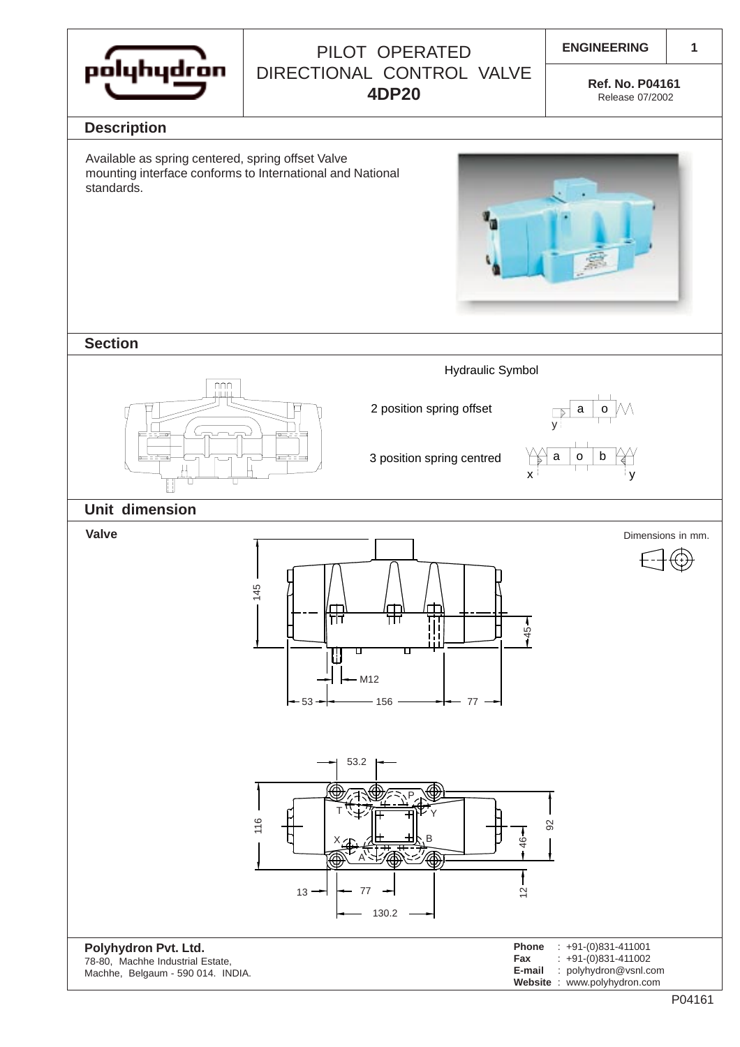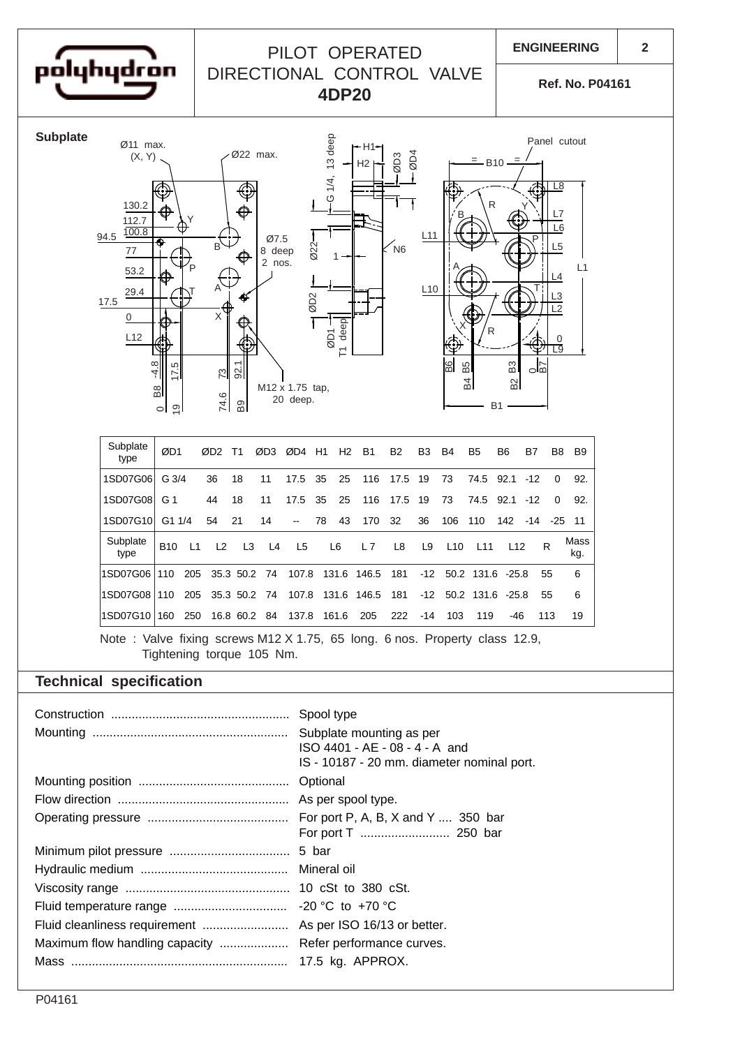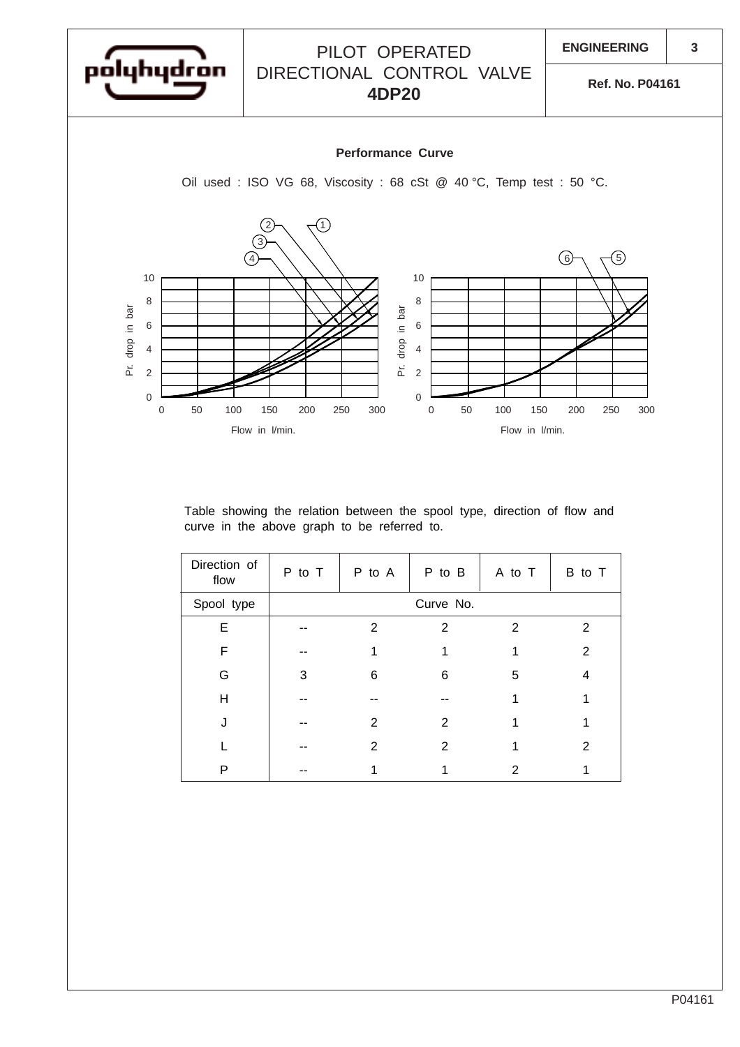

Table showing the relation between the spool type, direction of flow and curve in the above graph to be referred to.

| Direction of<br>flow | P to T    | P to A | P to B | A to T        | B to T |
|----------------------|-----------|--------|--------|---------------|--------|
| Spool type           | Curve No. |        |        |               |        |
| Е                    |           | 2      | 2      | $\mathcal{P}$ | 2      |
| F                    |           |        |        |               | 2      |
| G                    | 3         | 6      | 6      | 5             | 4      |
| H                    |           |        |        |               |        |
|                      |           | 2      | 2      |               |        |
|                      |           | 2      | 2      |               | 2      |
| Р                    |           |        |        | 2             |        |